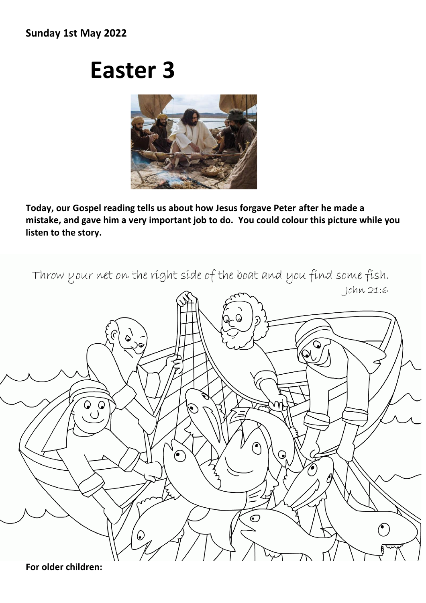## **Sunday 1st May 2022**

## **Easter 3**



**Today, our Gospel reading tells us about how Jesus forgave Peter after he made a mistake, and gave him a very important job to do. You could colour this picture while you listen to the story.** 



**For older children:**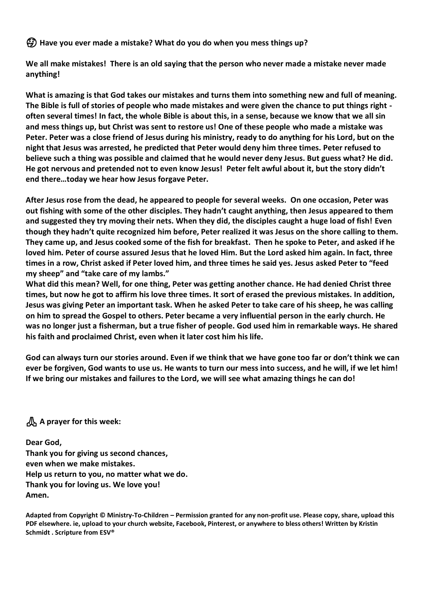**Have you ever made a mistake? What do you do when you mess things up?**

**We all make mistakes! There is an old saying that the person who never made a mistake never made anything!** 

**What is amazing is that God takes our mistakes and turns them into something new and full of meaning. The Bible is full of stories of people who made mistakes and were given the chance to put things right often several times! In fact, the whole Bible is about this, in a sense, because we know that we all sin and mess things up, but Christ was sent to restore us! One of these people who made a mistake was Peter. Peter was a close friend of Jesus during his ministry, ready to do anything for his Lord, but on the night that Jesus was arrested, he predicted that Peter would deny him three times. Peter refused to believe such a thing was possible and claimed that he would never deny Jesus. But guess what? He did. He got nervous and pretended not to even know Jesus! Peter felt awful about it, but the story didn't end there…today we hear how Jesus forgave Peter.** 

**After Jesus rose from the dead, he appeared to people for several weeks. On one occasion, Peter was out fishing with some of the other disciples. They hadn't caught anything, then Jesus appeared to them and suggested they try moving their nets. When they did, the disciples caught a huge load of fish! Even though they hadn't quite recognized him before, Peter realized it was Jesus on the shore calling to them. They came up, and Jesus cooked some of the fish for breakfast. Then he spoke to Peter, and asked if he loved him. Peter of course assured Jesus that he loved Him. But the Lord asked him again. In fact, three times in a row, Christ asked if Peter loved him, and three times he said yes. Jesus asked Peter to "feed my sheep" and "take care of my lambs."**

**What did this mean? Well, for one thing, Peter was getting another chance. He had denied Christ three times, but now he got to affirm his love three times. It sort of erased the previous mistakes. In addition, Jesus was giving Peter an important task. When he asked Peter to take care of his sheep, he was calling on him to spread the Gospel to others. Peter became a very influential person in the early church. He was no longer just a fisherman, but a true fisher of people. God used him in remarkable ways. He shared his faith and proclaimed Christ, even when it later cost him his life.**

**God can always turn our stories around. Even if we think that we have gone too far or don't think we can ever be forgiven, God wants to use us. He wants to turn our mess into success, and he will, if we let him! If we bring our mistakes and failures to the Lord, we will see what amazing things he can do!**

**A prayer for this week:**

**Dear God, Thank you for giving us second chances, even when we make mistakes. Help us return to you, no matter what we do. Thank you for loving us. We love you! Amen.**

**Adapted from Copyright © Ministry-To-Children – Permission granted for any non-profit use. Please copy, share, upload this PDF elsewhere. ie, upload to your church website, Facebook, Pinterest, or anywhere to bless others! Written by Kristin Schmidt . Scripture from ESV®**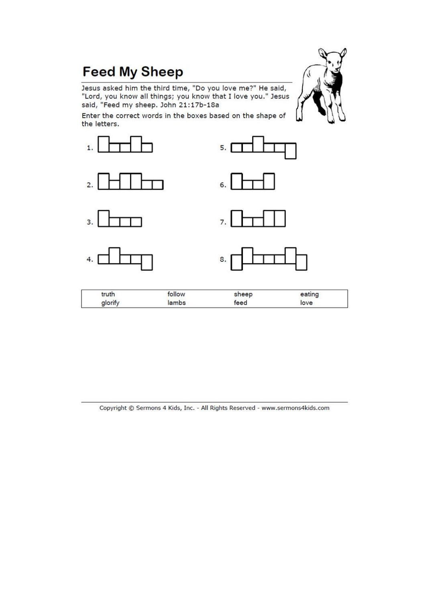## **Feed My Sheep**

Jesus asked him the third time, "Do you love me?" He said,<br>"Lord, you know all things; you know that I love you." Jesus said, "Feed my sheep. John 21:17b-18a

Enter the correct words in the boxes based on the shape of the letters.



Copyright © Sermons 4 Kids, Inc. - All Rights Reserved - www.sermons4kids.com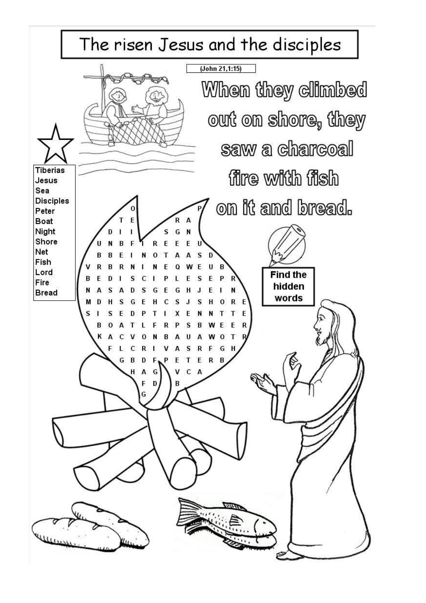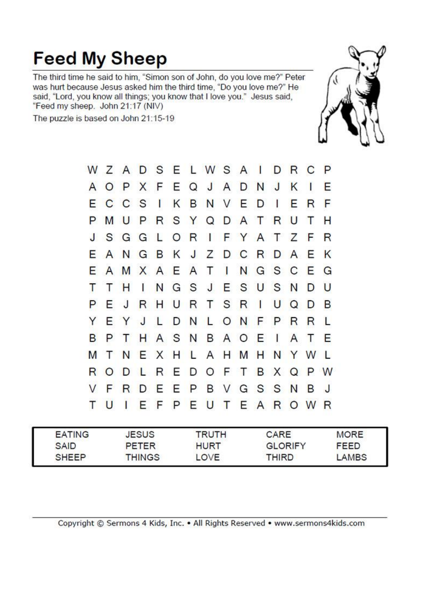## **Feed My Sheep**

The third time he said to him, "Simon son of John, do you love me?" Peter was hurt because Jesus asked him the third time, "Do you love me?" He said, "Lord, you know all things; you know that I love you." Jesus said, "Feed my sheep. John 21:17 (NIV)

The puzzle is based on John 21:15-19



|   |    |        |              |              |      |                | WZADSELWSAIDRC              |       |        |              |              |              |              | <b>P</b> |
|---|----|--------|--------------|--------------|------|----------------|-----------------------------|-------|--------|--------------|--------------|--------------|--------------|----------|
| A |    |        |              |              |      |                | OPXFEQJAD                   |       |        |              | N J          | K            | $\mathbf{r}$ | Е        |
|   |    | C C S  |              | $\mathbf{I}$ |      |                | K B N V E D I               |       |        |              |              | Е            | R            | F        |
|   |    |        |              |              |      |                | M U P R S Y Q D A T R U     |       |        |              |              |              | Т            | н        |
|   |    | SGGL   |              |              |      |                | ORIFYATZ                    |       |        |              |              |              | F            | R        |
| E |    |        |              |              |      |                | ANGBKJZDCRDA                |       |        |              |              |              | Ε            | K        |
| Е |    | AMXAEA |              |              |      |                | T                           |       | INGSCE |              |              |              |              | G        |
|   | Τ  | н      | $\mathbf{I}$ |              |      |                | NGSJESUSN                   |       |        |              |              |              | D            | U        |
|   | E  | $\cup$ |              | R H          |      | UR <sup></sup> |                             | T S R |        | $\mathbf{1}$ | U            | $\Omega$     | D            | B        |
|   |    | EYJL   |              |              |      |                | DNLONFPR                    |       |        |              |              |              | R            | L        |
| B | Ρ  | T.     |              |              | HASN |                |                             |       | BAOE   |              | $\mathbf{I}$ | $\mathsf{A}$ | Τ            | Е        |
| М | T. |        |              |              |      |                | N E X H L A H M H N Y W     |       |        |              |              |              |              | S.       |
| R |    |        |              |              |      |                | O D L R E D O F T B X Q P W |       |        |              |              |              |              |          |
|   | F  | R      |              |              |      |                | <b>DEEPBVGSSN</b>           |       |        |              |              |              | B            | J        |
|   | U  | T      |              |              |      |                | EFPEUTEAROW                 |       |        |              |              |              |              | R        |
|   |    |        |              |              |      |                |                             |       |        |              |              |              |              |          |

| <b>EATING</b> | JESUS         | <b>TRUTH</b> | CARE           | <b>MORE</b> |
|---------------|---------------|--------------|----------------|-------------|
| SAID          | PETER         | <b>HURT</b>  | <b>GLORIFY</b> | <b>FEED</b> |
| <b>SHEEP</b>  | <b>THINGS</b> | LOVE         | THIRD          | LAMBS       |